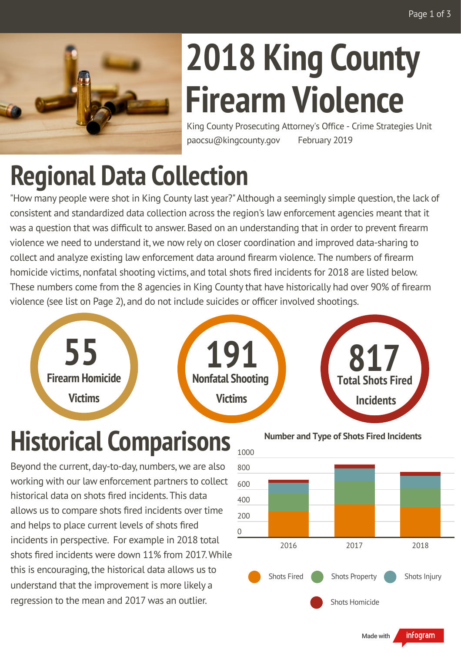

# **2018 King County Firearm Violence**

King County Prosecuting Attorney's Office - Crime Strategies Unit paocsu@kingcounty.gov February 2019

#### **Regional Data Collection**

"How many people were shot in King County last year?" Although a seemingly simple question, the lack of consistent and standardized data collection across the region's law enforcement agencies meant that it was a question that was difficult to answer. Based on an understanding that in order to prevent firearm violence we need to understand it, we now rely on closer coordination and improved data-sharing to collect and analyze existing law enforcement data around firearm violence. The numbers of firearm homicide victims, nonfatal shooting victims, and total shots fired incidents for 2018 are listed below. These numbers come from the 8 agencies in King County that have historically had over 90% of firearm violence (see list on Page 2), and do not include suicides or officer involved shootings.







# **Historical Comparisons**

Beyond the current, day-to-day, numbers,we are also working with our law enforcement partners to collect historical data on shots fired incidents. This data allows us to compare shots fired incidents over time and helps to place current levels of shots fired incidents in perspective. For example in 2018 total shots fired incidents were down 11% from 2017. While this is encouraging, the historical data allows us to understand that the improvement is more likely a regression to the mean and 2017 was an outlier.



**Number and Type of Shots Fired Incidents**

infogram Made with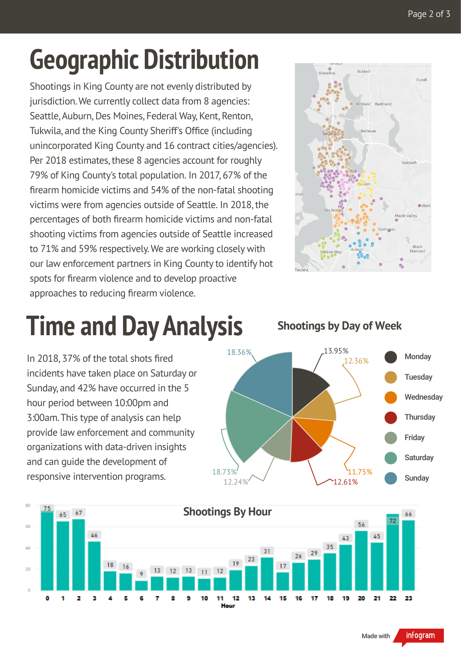#### **Geographic Distribution**

Shootings in King County are not evenly distributed by jurisdiction.We currently collect data from 8 agencies: Seattle, Auburn, Des Moines, Federal Way, Kent, Renton, Tukwila, and the King County Sheriff's Office (including unincorporated King County and 16 contract cities/agencies). Per 2018 estimates, these 8 agencies account for roughly 79% of King County's total population. In 2017, 67% of the firearm homicide victims and 54% of the non-fatal shooting victims were from agencies outside of Seattle. In 2018, the percentages of both firearm homicide victims and non-fatal shooting victims from agencies outside of Seattle increased to 71% and 59% respectively. We are working closely with our law enforcement partners in King County to identify hot spots for firearm violence and to develop proactive approaches to reducing firearm violence.



# **Time and DayAnalysis**

In 2018, 37% of the total shots fired incidents have taken place on Saturday or Sunday, and 42% have occurred in the 5 hour period between 10:00pm and 3:00am.This type of analysis can help provide law enforcement and community organizations with data-driven insights and can guide the development of responsive intervention programs.

**Shootings by Day of Week**